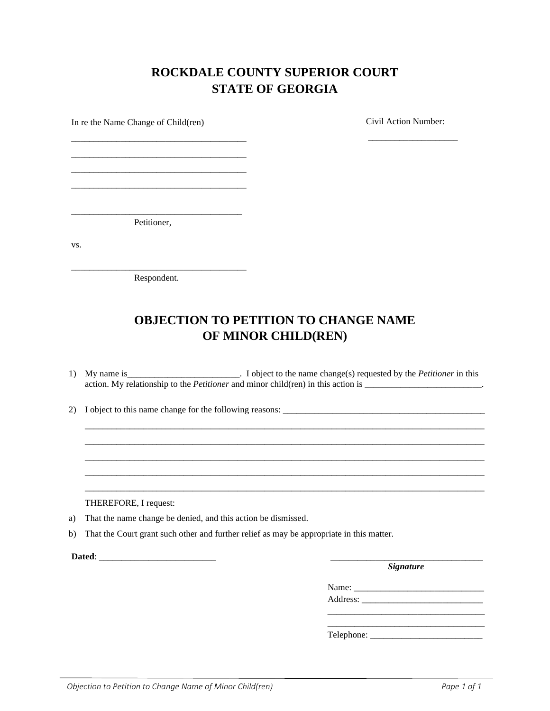## **ROCKDALE COUNTY SUPERIOR COURT STATE OF GEORGIA**

\_\_\_\_\_\_\_\_\_\_\_\_\_\_\_\_\_\_\_\_

In re the Name Change of Child(ren)

Civil Action Number:

\_\_\_\_\_\_\_\_\_\_\_\_\_\_\_\_\_\_\_\_\_\_\_\_\_\_\_\_\_\_\_\_\_\_\_\_\_\_ Petitioner,

\_\_\_\_\_\_\_\_\_\_\_\_\_\_\_\_\_\_\_\_\_\_\_\_\_\_\_\_\_\_\_\_\_\_\_\_\_\_\_ \_\_\_\_\_\_\_\_\_\_\_\_\_\_\_\_\_\_\_\_\_\_\_\_\_\_\_\_\_\_\_\_\_\_\_\_\_\_\_ \_\_\_\_\_\_\_\_\_\_\_\_\_\_\_\_\_\_\_\_\_\_\_\_\_\_\_\_\_\_\_\_\_\_\_\_\_\_\_ \_\_\_\_\_\_\_\_\_\_\_\_\_\_\_\_\_\_\_\_\_\_\_\_\_\_\_\_\_\_\_\_\_\_\_\_\_\_\_

vs.

\_\_\_\_\_\_\_\_\_\_\_\_\_\_\_\_\_\_\_\_\_\_\_\_\_\_\_\_\_\_\_\_\_\_\_\_\_\_\_ Respondent.

## **OBJECTION TO PETITION TO CHANGE NAME OF MINOR CHILD(REN)**

1) My name is\_\_\_\_\_\_\_\_\_\_\_\_\_\_\_\_\_\_\_\_\_\_\_\_\_. I object to the name change(s) requested by the *Petitioner* in this action. My relationship to the *Petitioner* and minor child(ren) in this action is \_\_\_\_\_\_\_\_\_\_\_\_\_\_\_\_\_\_\_\_\_\_\_\_\_\_\_\_\_\_.

\_\_\_\_\_\_\_\_\_\_\_\_\_\_\_\_\_\_\_\_\_\_\_\_\_\_\_\_\_\_\_\_\_\_\_\_\_\_\_\_\_\_\_\_\_\_\_\_\_\_\_\_\_\_\_\_\_\_\_\_\_\_\_\_\_\_\_\_\_\_\_\_\_\_\_\_\_\_\_\_\_\_\_\_\_\_\_\_\_ \_\_\_\_\_\_\_\_\_\_\_\_\_\_\_\_\_\_\_\_\_\_\_\_\_\_\_\_\_\_\_\_\_\_\_\_\_\_\_\_\_\_\_\_\_\_\_\_\_\_\_\_\_\_\_\_\_\_\_\_\_\_\_\_\_\_\_\_\_\_\_\_\_\_\_\_\_\_\_\_\_\_\_\_\_\_\_\_\_ \_\_\_\_\_\_\_\_\_\_\_\_\_\_\_\_\_\_\_\_\_\_\_\_\_\_\_\_\_\_\_\_\_\_\_\_\_\_\_\_\_\_\_\_\_\_\_\_\_\_\_\_\_\_\_\_\_\_\_\_\_\_\_\_\_\_\_\_\_\_\_\_\_\_\_\_\_\_\_\_\_\_\_\_\_\_\_\_\_ \_\_\_\_\_\_\_\_\_\_\_\_\_\_\_\_\_\_\_\_\_\_\_\_\_\_\_\_\_\_\_\_\_\_\_\_\_\_\_\_\_\_\_\_\_\_\_\_\_\_\_\_\_\_\_\_\_\_\_\_\_\_\_\_\_\_\_\_\_\_\_\_\_\_\_\_\_\_\_\_\_\_\_\_\_\_\_\_\_ \_\_\_\_\_\_\_\_\_\_\_\_\_\_\_\_\_\_\_\_\_\_\_\_\_\_\_\_\_\_\_\_\_\_\_\_\_\_\_\_\_\_\_\_\_\_\_\_\_\_\_\_\_\_\_\_\_\_\_\_\_\_\_\_\_\_\_\_\_\_\_\_\_\_\_\_\_\_\_\_\_\_\_\_\_\_\_\_\_

2) I object to this name change for the following reasons: \_\_\_\_\_\_\_\_\_\_\_\_\_\_\_\_\_\_\_\_\_\_\_\_\_\_\_\_\_\_\_\_\_\_\_\_\_\_\_\_\_\_\_\_\_

THEREFORE, I request:

- a) That the name change be denied, and this action be dismissed.
- b) That the Court grant such other and further relief as may be appropriate in this matter.

**Dated:**  $\blacksquare$ 

*Signature* 

Name: \_\_\_\_\_\_\_\_\_\_\_\_\_\_\_\_\_\_\_\_\_\_\_\_\_\_\_\_\_ Address:

 $\overline{\phantom{a}}$  , and the state of the state of the state of the state of the state of the state of the state of the state of the state of the state of the state of the state of the state of the state of the state of the stat

Telephone: \_\_\_\_\_\_\_\_\_\_\_\_\_\_\_\_\_\_\_\_\_\_\_\_\_